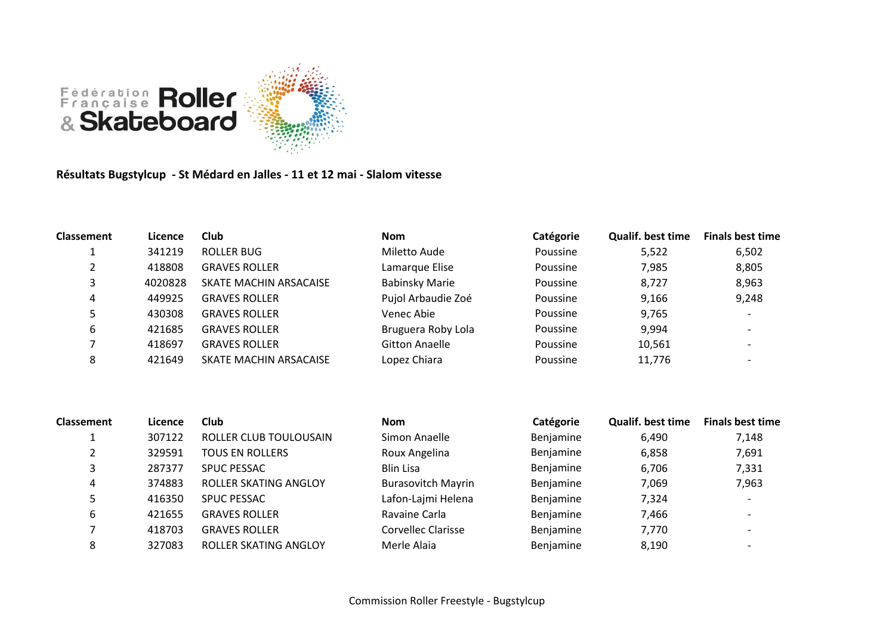

**Résultats Bugstylcup - St Médard en Jalles - 11 et 12 mai - Slalom vitesse**

| <b>Classement</b> | Licence | Club                   | <b>Nom</b>            | Catégorie | <b>Qualif. best time</b> | <b>Finals best time</b> |
|-------------------|---------|------------------------|-----------------------|-----------|--------------------------|-------------------------|
|                   | 341219  | ROLLER BUG             | Miletto Aude          | Poussine  | 5,522                    | 6,502                   |
|                   | 418808  | <b>GRAVES ROLLER</b>   | Lamarque Elise        | Poussine  | 7,985                    | 8,805                   |
| 3.                | 4020828 | SKATE MACHIN ARSACAISE | <b>Babinsky Marie</b> | Poussine  | 8,727                    | 8,963                   |
| 4                 | 449925  | <b>GRAVES ROLLER</b>   | Pujol Arbaudie Zoé    | Poussine  | 9,166                    | 9,248                   |
|                   | 430308  | <b>GRAVES ROLLER</b>   | Venec Abie            | Poussine  | 9,765                    |                         |
| 6                 | 421685  | <b>GRAVES ROLLER</b>   | Bruguera Roby Lola    | Poussine  | 9,994                    |                         |
|                   | 418697  | <b>GRAVES ROLLER</b>   | <b>Gitton Anaelle</b> | Poussine  | 10,561                   |                         |
| 8                 | 421649  | SKATE MACHIN ARSACAISE | Lopez Chiara          | Poussine  | 11,776                   |                         |

| <b>Classement</b> | Licence | Club                   | <b>Nom</b>                | Catégorie | <b>Qualif. best time</b> | <b>Finals best time</b>  |
|-------------------|---------|------------------------|---------------------------|-----------|--------------------------|--------------------------|
|                   | 307122  | ROLLER CLUB TOULOUSAIN | Simon Anaelle             | Benjamine | 6,490                    | 7,148                    |
|                   | 329591  | <b>TOUS EN ROLLERS</b> | Roux Angelina             | Benjamine | 6,858                    | 7,691                    |
|                   | 287377  | <b>SPUC PESSAC</b>     | Blin Lisa                 | Benjamine | 6,706                    | 7,331                    |
| 4                 | 374883  | ROLLER SKATING ANGLOY  | <b>Burasovitch Mayrin</b> | Benjamine | 7,069                    | 7,963                    |
|                   | 416350  | <b>SPUC PESSAC</b>     | Lafon-Lajmi Helena        | Benjamine | 7,324                    | -                        |
| 6                 | 421655  | <b>GRAVES ROLLER</b>   | Ravaine Carla             | Benjamine | 7,466                    | $\overline{\phantom{0}}$ |
|                   | 418703  | <b>GRAVES ROLLER</b>   | <b>Corvellec Clarisse</b> | Benjamine | 7,770                    |                          |
| 8                 | 327083  | ROLLER SKATING ANGLOY  | Merle Alaia               | Benjamine | 8,190                    |                          |
|                   |         |                        |                           |           |                          |                          |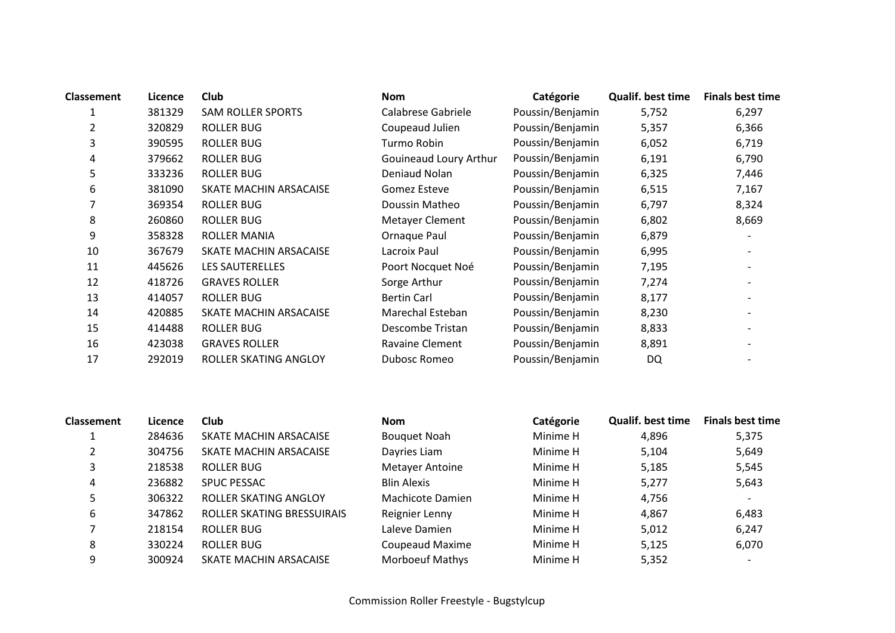| <b>Classement</b> | Licence | <b>Club</b>              | <b>Nom</b>             | Catégorie        | Qualif. best time | <b>Finals best time</b> |
|-------------------|---------|--------------------------|------------------------|------------------|-------------------|-------------------------|
|                   | 381329  | <b>SAM ROLLER SPORTS</b> | Calabrese Gabriele     | Poussin/Benjamin | 5,752             | 6,297                   |
| 2                 | 320829  | <b>ROLLER BUG</b>        | Coupeaud Julien        | Poussin/Benjamin | 5,357             | 6,366                   |
| 3                 | 390595  | ROLLER BUG               | Turmo Robin            | Poussin/Benjamin | 6,052             | 6,719                   |
| 4                 | 379662  | ROLLER BUG               | Gouineaud Loury Arthur | Poussin/Benjamin | 6,191             | 6,790                   |
| 5                 | 333236  | ROLLER BUG               | Deniaud Nolan          | Poussin/Benjamin | 6,325             | 7,446                   |
| 6                 | 381090  | SKATE MACHIN ARSACAISE   | Gomez Esteve           | Poussin/Benjamin | 6,515             | 7,167                   |
|                   | 369354  | ROLLER BUG               | Doussin Matheo         | Poussin/Benjamin | 6,797             | 8,324                   |
| 8                 | 260860  | ROLLER BUG               | Metayer Clement        | Poussin/Benjamin | 6,802             | 8,669                   |
| 9                 | 358328  | ROLLER MANIA             | Ornaque Paul           | Poussin/Benjamin | 6,879             |                         |
| 10                | 367679  | SKATE MACHIN ARSACAISE   | Lacroix Paul           | Poussin/Benjamin | 6,995             |                         |
| 11                | 445626  | <b>LES SAUTERELLES</b>   | Poort Nocquet Noé      | Poussin/Benjamin | 7,195             |                         |
| 12                | 418726  | <b>GRAVES ROLLER</b>     | Sorge Arthur           | Poussin/Benjamin | 7,274             |                         |
| 13                | 414057  | ROLLER BUG               | <b>Bertin Carl</b>     | Poussin/Benjamin | 8,177             |                         |
| 14                | 420885  | SKATE MACHIN ARSACAISE   | Marechal Esteban       | Poussin/Benjamin | 8,230             |                         |
| 15                | 414488  | ROLLER BUG               | Descombe Tristan       | Poussin/Benjamin | 8,833             |                         |
| 16                | 423038  | <b>GRAVES ROLLER</b>     | Ravaine Clement        | Poussin/Benjamin | 8,891             |                         |
| 17                | 292019  | ROLLER SKATING ANGLOY    | Dubosc Romeo           | Poussin/Benjamin | <b>DQ</b>         |                         |

| <b>Classement</b> | Licence | <b>Club</b>                | <b>Nom</b>             | Catégorie | <b>Qualif. best time</b> | <b>Finals best time</b>  |
|-------------------|---------|----------------------------|------------------------|-----------|--------------------------|--------------------------|
|                   | 284636  | SKATE MACHIN ARSACAISE     | <b>Bouquet Noah</b>    | Minime H  | 4,896                    | 5,375                    |
|                   | 304756  | SKATE MACHIN ARSACAISE     | Dayries Liam           | Minime H  | 5.104                    | 5,649                    |
| 3                 | 218538  | ROLLER BUG                 | Metayer Antoine        | Minime H  | 5,185                    | 5,545                    |
| 4                 | 236882  | <b>SPUC PESSAC</b>         | <b>Blin Alexis</b>     | Minime H  | 5,277                    | 5,643                    |
| 5                 | 306322  | ROLLER SKATING ANGLOY      | Machicote Damien       | Minime H  | 4,756                    | $\overline{\phantom{a}}$ |
| 6                 | 347862  | ROLLER SKATING BRESSUIRAIS | Reignier Lenny         | Minime H  | 4,867                    | 6,483                    |
|                   | 218154  | ROLLER BUG                 | Laleve Damien          | Minime H  | 5,012                    | 6,247                    |
| 8                 | 330224  | ROLLER BUG                 | Coupeaud Maxime        | Minime H  | 5,125                    | 6,070                    |
| 9                 | 300924  | SKATE MACHIN ARSACAISE     | <b>Morboeuf Mathys</b> | Minime H  | 5,352                    | $\overline{\phantom{a}}$ |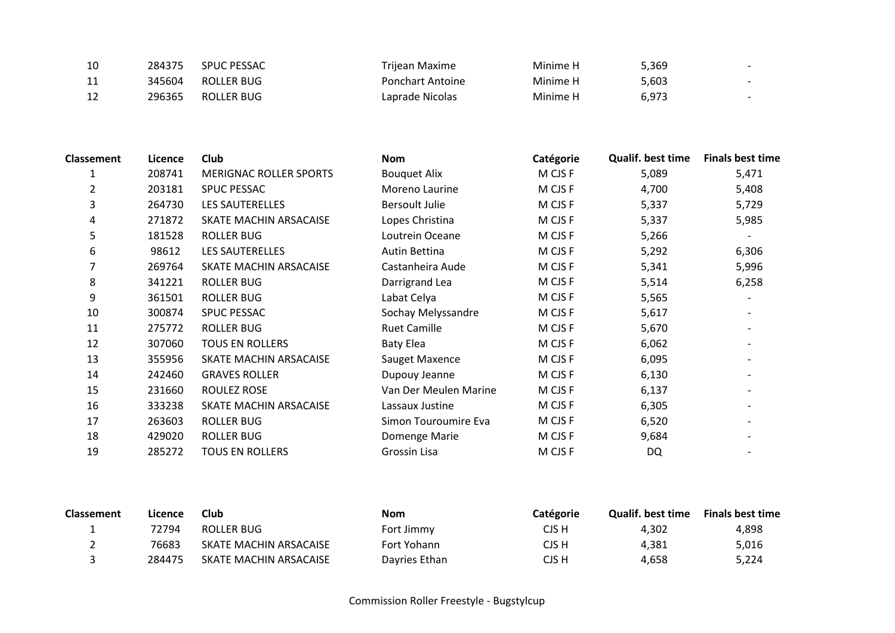| 10  | 284375 | <b>SPUC PESSAC</b> | Trijean Maxime          | Minime H | 5,369 | $\overline{\phantom{0}}$ |
|-----|--------|--------------------|-------------------------|----------|-------|--------------------------|
| -11 | 345604 | ROLLER BUG         | <b>Ponchart Antoine</b> | Minime H | 5,603 | $\overline{\phantom{0}}$ |
| 12  | 296365 | ROLLER BUG         | Laprade Nicolas         | Minime H | 6.973 |                          |

| Classement | Licence | <b>Club</b>                   | <b>Nom</b>            | Catégorie | Qualif. best time | <b>Finals best time</b>  |
|------------|---------|-------------------------------|-----------------------|-----------|-------------------|--------------------------|
|            | 208741  | <b>MERIGNAC ROLLER SPORTS</b> | <b>Bouquet Alix</b>   | M CJS F   | 5,089             | 5,471                    |
| 2          | 203181  | <b>SPUC PESSAC</b>            | Moreno Laurine        | M CJS F   | 4,700             | 5,408                    |
| 3          | 264730  | <b>LES SAUTERELLES</b>        | <b>Bersoult Julie</b> | M CJS F   | 5,337             | 5,729                    |
| 4          | 271872  | SKATE MACHIN ARSACAISE        | Lopes Christina       | M CJS F   | 5,337             | 5,985                    |
| 5          | 181528  | <b>ROLLER BUG</b>             | Loutrein Oceane       | M CJS F   | 5,266             |                          |
| 6          | 98612   | <b>LES SAUTERELLES</b>        | Autin Bettina         | M CJS F   | 5,292             | 6,306                    |
| 7          | 269764  | SKATE MACHIN ARSACAISE        | Castanheira Aude      | M CJS F   | 5,341             | 5,996                    |
| 8          | 341221  | <b>ROLLER BUG</b>             | Darrigrand Lea        | M CJS F   | 5,514             | 6,258                    |
| 9          | 361501  | <b>ROLLER BUG</b>             | Labat Celya           | M CJS F   | 5,565             |                          |
| 10         | 300874  | <b>SPUC PESSAC</b>            | Sochay Melyssandre    | M CJS F   | 5,617             |                          |
| 11         | 275772  | <b>ROLLER BUG</b>             | <b>Ruet Camille</b>   | M CJS F   | 5,670             |                          |
| 12         | 307060  | <b>TOUS EN ROLLERS</b>        | <b>Baty Elea</b>      | M CJS F   | 6,062             |                          |
| 13         | 355956  | SKATE MACHIN ARSACAISE        | Sauget Maxence        | M CJS F   | 6,095             | $\overline{\phantom{a}}$ |
| 14         | 242460  | <b>GRAVES ROLLER</b>          | Dupouy Jeanne         | M CJS F   | 6,130             | $\overline{\phantom{a}}$ |
| 15         | 231660  | ROULEZ ROSE                   | Van Der Meulen Marine | M CJS F   | 6,137             |                          |
| 16         | 333238  | SKATE MACHIN ARSACAISE        | Lassaux Justine       | M CJS F   | 6,305             |                          |
| 17         | 263603  | <b>ROLLER BUG</b>             | Simon Touroumire Eva  | M CJS F   | 6,520             | $\overline{\phantom{a}}$ |
| 18         | 429020  | <b>ROLLER BUG</b>             | Domenge Marie         | M CJS F   | 9,684             |                          |
| 19         | 285272  | <b>TOUS EN ROLLERS</b>        | Grossin Lisa          | M CJS F   | <b>DQ</b>         |                          |

| <b>Classement</b> | Licence | Club                   | Nom           | Catégorie | <b>Qualif. best time</b> | <b>Finals best time</b> |
|-------------------|---------|------------------------|---------------|-----------|--------------------------|-------------------------|
|                   | 72794   | ROLLER BUG             | Fort Jimmy    | CJS H     | 4.302                    | 4,898                   |
|                   | 76683   | SKATE MACHIN ARSACAISE | Fort Yohann   | CJS H     | 4.381                    | 5,016                   |
|                   | 284475  | SKATE MACHIN ARSACAISE | Davries Ethan | CJS H     | 4,658                    | 5,224                   |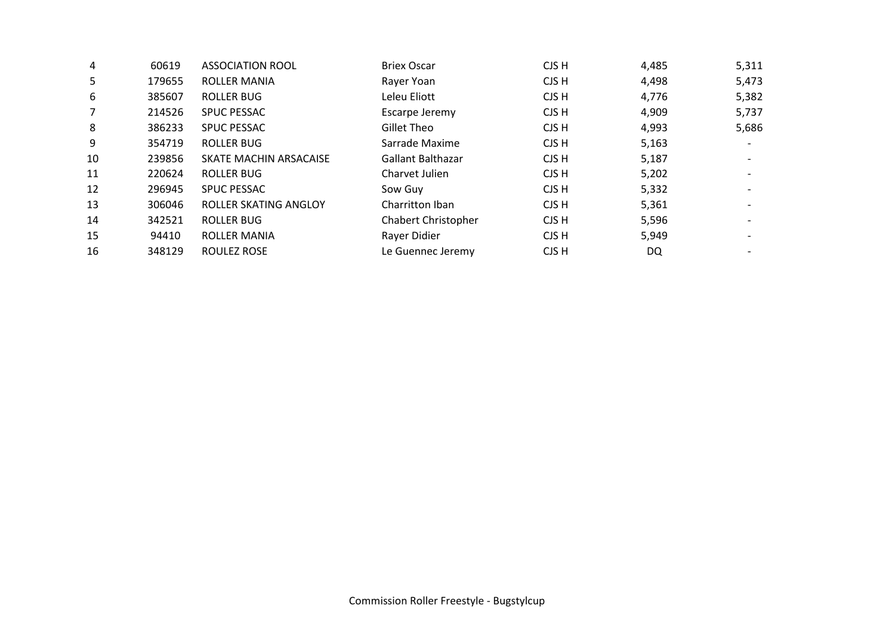| 4              | 60619  | <b>ASSOCIATION ROOL</b> | <b>Briex Oscar</b>         | CJS H | 4,485 | 5,311 |
|----------------|--------|-------------------------|----------------------------|-------|-------|-------|
| 5              | 179655 | ROLLER MANIA            | Rayer Yoan                 | CJS H | 4,498 | 5,473 |
| 6              | 385607 | <b>ROLLER BUG</b>       | Leleu Eliott               | CJS H | 4,776 | 5,382 |
| $\overline{7}$ | 214526 | <b>SPUC PESSAC</b>      | Escarpe Jeremy             | CJS H | 4,909 | 5,737 |
| 8              | 386233 | <b>SPUC PESSAC</b>      | Gillet Theo                | CJS H | 4,993 | 5,686 |
| 9              | 354719 | <b>ROLLER BUG</b>       | Sarrade Maxime             | CJS H | 5,163 |       |
| 10             | 239856 | SKATE MACHIN ARSACAISE  | <b>Gallant Balthazar</b>   | CJS H | 5,187 |       |
| 11             | 220624 | <b>ROLLER BUG</b>       | Charvet Julien             | CJS H | 5,202 |       |
| 12             | 296945 | <b>SPUC PESSAC</b>      | Sow Guy                    | CJS H | 5,332 |       |
| 13             | 306046 | ROLLER SKATING ANGLOY   | Charritton Iban            | CJS H | 5,361 |       |
| 14             | 342521 | <b>ROLLER BUG</b>       | <b>Chabert Christopher</b> | CJS H | 5,596 |       |
| 15             | 94410  | <b>ROLLER MANIA</b>     | Rayer Didier               | CJS H | 5,949 |       |
| 16             | 348129 | ROULEZ ROSE             | Le Guennec Jeremy          | CJS H | DQ    |       |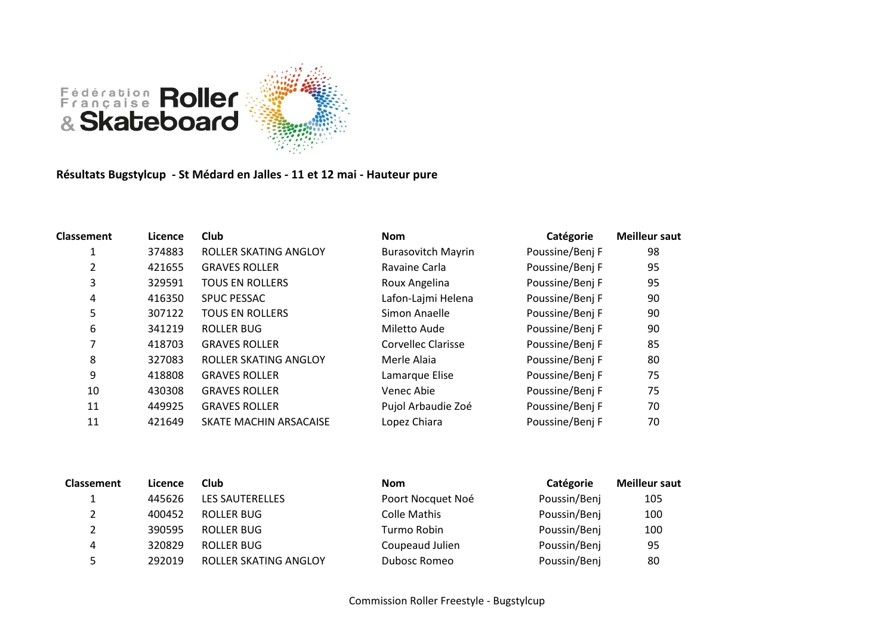

**Résultats Bugstylcup - St Médard en Jalles - 11 et 12 mai - Hauteur pure**

| <b>Classement</b> | Licence | <b>Club</b>                  | <b>Nom</b>                | Catégorie       | <b>Meilleur saut</b> |
|-------------------|---------|------------------------------|---------------------------|-----------------|----------------------|
|                   | 374883  | <b>ROLLER SKATING ANGLOY</b> | <b>Burasovitch Mayrin</b> | Poussine/Benj F | 98                   |
| 2                 | 421655  | <b>GRAVES ROLLER</b>         | Ravaine Carla             | Poussine/Benj F | 95                   |
| 3                 | 329591  | <b>TOUS EN ROLLERS</b>       | Roux Angelina             | Poussine/Benj F | 95                   |
| 4                 | 416350  | <b>SPUC PESSAC</b>           | Lafon-Lajmi Helena        | Poussine/Benj F | 90                   |
| 5                 | 307122  | <b>TOUS EN ROLLERS</b>       | Simon Anaelle             | Poussine/Benj F | 90                   |
| 6                 | 341219  | <b>ROLLER BUG</b>            | Miletto Aude              | Poussine/Benj F | 90                   |
| 7                 | 418703  | <b>GRAVES ROLLER</b>         | Corvellec Clarisse        | Poussine/Benj F | 85                   |
| 8                 | 327083  | <b>ROLLER SKATING ANGLOY</b> | Merle Alaia               | Poussine/Benj F | 80                   |
| 9                 | 418808  | <b>GRAVES ROLLER</b>         | Lamarque Elise            | Poussine/Benj F | 75                   |
| 10                | 430308  | <b>GRAVES ROLLER</b>         | Venec Abie                | Poussine/Benj F | 75                   |
| 11                | 449925  | <b>GRAVES ROLLER</b>         | Pujol Arbaudie Zoé        | Poussine/Benj F | 70                   |
| 11                | 421649  | SKATE MACHIN ARSACAISE       | Lopez Chiara              | Poussine/Benj F | 70                   |

| <b>Classement</b> | Licence | Club                  | <b>Nom</b>        | Catégorie    | <b>Meilleur saut</b> |
|-------------------|---------|-----------------------|-------------------|--------------|----------------------|
|                   | 445626  | LES SAUTERELLES       | Poort Nocquet Noé | Poussin/Benj | 105                  |
|                   | 400452  | ROLLER BUG            | Colle Mathis      | Poussin/Benj | 100                  |
|                   | 390595  | ROLLER BUG            | Turmo Robin       | Poussin/Benj | 100                  |
| 4                 | 320829  | ROLLER BUG            | Coupeaud Julien   | Poussin/Benj | 95                   |
|                   | 292019  | ROLLER SKATING ANGLOY | Dubosc Romeo      | Poussin/Benj | 80                   |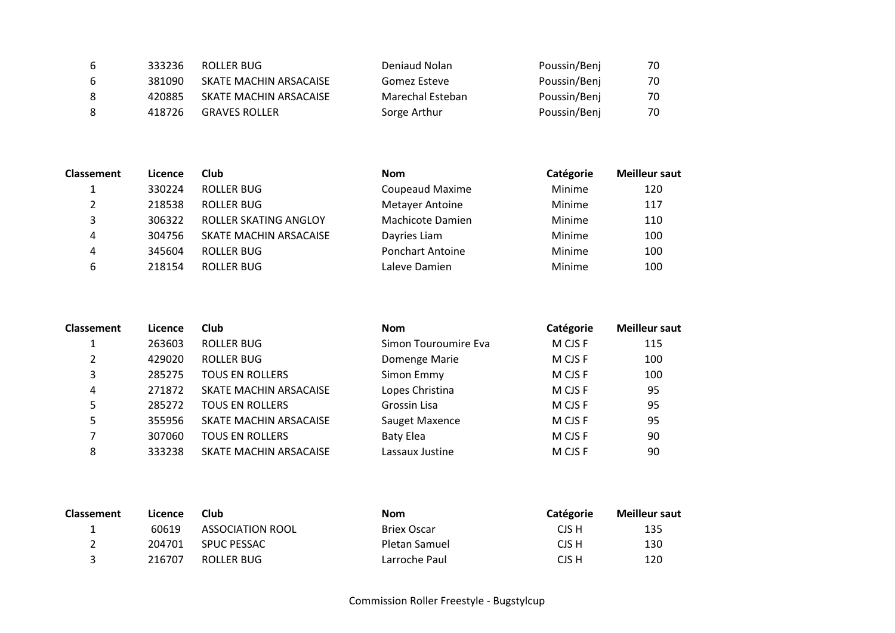| 6. | 333236 | ROLLER BUG             | Deniaud Nolan    | Poussin/Benj | 70 |
|----|--------|------------------------|------------------|--------------|----|
| 6. | 381090 | SKATE MACHIN ARSACAISE | Gomez Esteve     | Poussin/Benj | 70 |
| 8  | 420885 | SKATE MACHIN ARSACAISE | Marechal Esteban | Poussin/Benj | 70 |
| 8  | 418726 | <b>GRAVES ROLLER</b>   | Sorge Arthur     | Poussin/Benj | 70 |

| <b>Classement</b> | Licence | Club                   | <b>Nom</b>              | Catégorie | <b>Meilleur saut</b> |
|-------------------|---------|------------------------|-------------------------|-----------|----------------------|
|                   | 330224  | ROLLER BUG             | Coupeaud Maxime         | Minime    | 120                  |
| 2                 | 218538  | ROLLER BUG             | Metayer Antoine         | Minime    | 117                  |
| 3                 | 306322  | ROLLER SKATING ANGLOY  | Machicote Damien        | Minime    | 110                  |
| 4                 | 304756  | SKATE MACHIN ARSACAISE | Dayries Liam            | Minime    | 100                  |
| 4                 | 345604  | ROLLER BUG             | <b>Ponchart Antoine</b> | Minime    | 100                  |
| 6                 | 218154  | ROLLER BUG             | Laleve Damien           | Minime    | 100                  |

| <b>Classement</b> | Licence | Club                   | <b>Nom</b>           | Catégorie | <b>Meilleur saut</b> |
|-------------------|---------|------------------------|----------------------|-----------|----------------------|
|                   | 263603  | ROLLER BUG             | Simon Touroumire Eva | M CJS F   | 115                  |
| 2                 | 429020  | ROLLER BUG             | Domenge Marie        | M CJS F   | 100                  |
| 3                 | 285275  | <b>TOUS EN ROLLERS</b> | Simon Emmy           | M CJS F   | 100                  |
| 4                 | 271872  | SKATE MACHIN ARSACAISE | Lopes Christina      | M CJS F   | 95                   |
| 5                 | 285272  | <b>TOUS EN ROLLERS</b> | Grossin Lisa         | M CJS F   | 95                   |
| 5                 | 355956  | SKATE MACHIN ARSACAISE | Sauget Maxence       | M CJS F   | 95                   |
|                   | 307060  | <b>TOUS EN ROLLERS</b> | <b>Baty Elea</b>     | M CJS F   | 90                   |
| 8                 | 333238  | SKATE MACHIN ARSACAISE | Lassaux Justine      | M CJS F   | 90                   |

| <b>Classement</b> | Licence | Club               | <b>Nom</b>    | Catégorie | <b>Meilleur saut</b> |
|-------------------|---------|--------------------|---------------|-----------|----------------------|
|                   | 60619   | ASSOCIATION ROOL   | Briex Oscar   | CJS H     | 135                  |
|                   | 204701  | <b>SPUC PESSAC</b> | Pletan Samuel | CJS H     | 130                  |
|                   | 216707  | ROLLER BUG         | Larroche Paul | CJS H     | 120                  |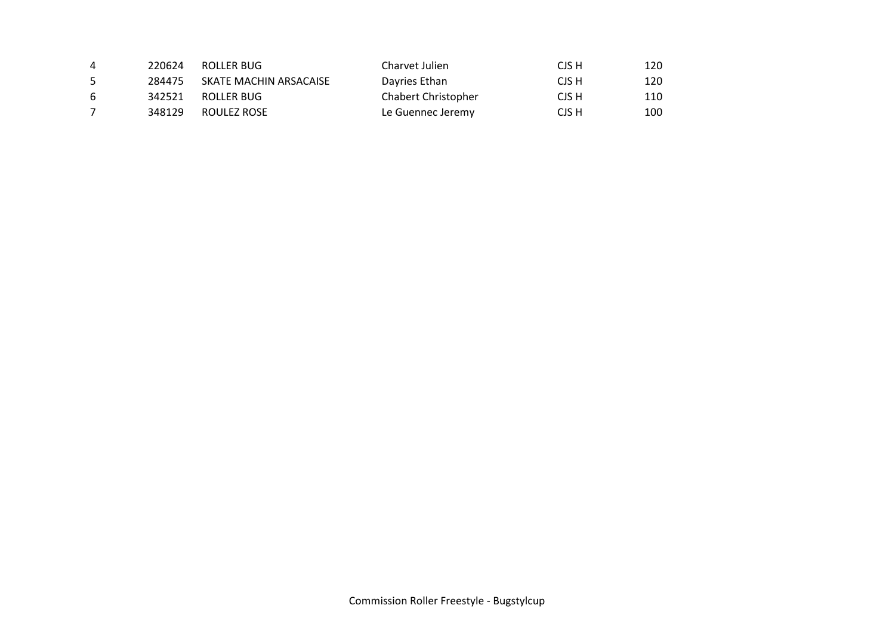| 4  | 220624 | ROLLER BUG             | Charvet Julien             | CJS H | 120 |
|----|--------|------------------------|----------------------------|-------|-----|
| 5. | 284475 | SKATE MACHIN ARSACAISE | Dayries Ethan              | CJS H | 120 |
| 6  | 342521 | ROLLER BUG             | <b>Chabert Christopher</b> | CJS H | 110 |
|    | 348129 | ROULEZ ROSE            | Le Guennec Jeremy          | CJS H | 100 |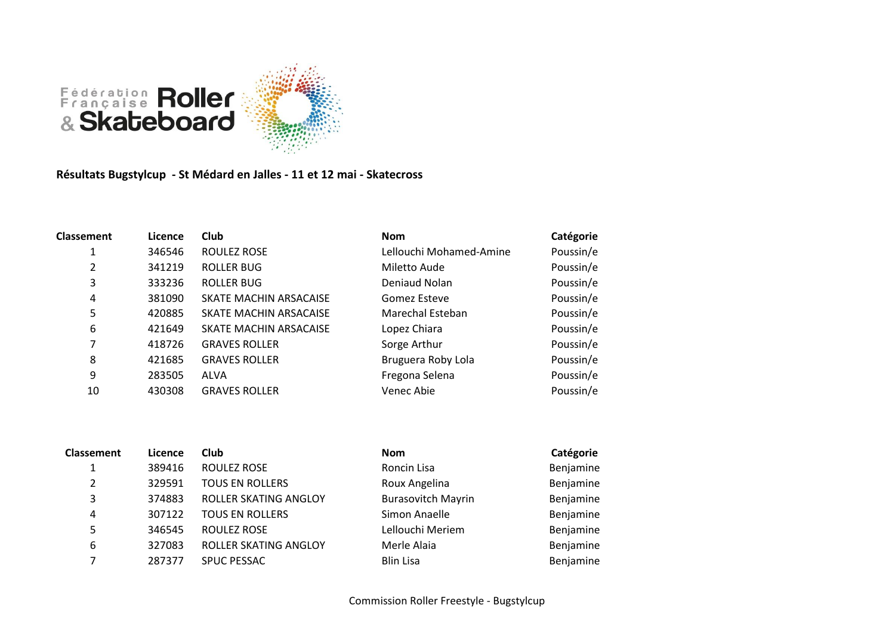

**Résultats Bugstylcup - St Médard en Jalles - 11 et 12 mai - Skatecross**

| <b>Classement</b> | Licence | <b>Club</b>            | <b>Nom</b>              | Catégorie |
|-------------------|---------|------------------------|-------------------------|-----------|
| 1                 | 346546  | ROULEZ ROSE            | Lellouchi Mohamed-Amine | Poussin/e |
| 2                 | 341219  | ROLLER BUG             | Miletto Aude            | Poussin/e |
| 3                 | 333236  | <b>ROLLER BUG</b>      | Deniaud Nolan           | Poussin/e |
| 4                 | 381090  | SKATE MACHIN ARSACAISE | Gomez Esteve            | Poussin/e |
| 5                 | 420885  | SKATE MACHIN ARSACAISE | Marechal Esteban        | Poussin/e |
| 6                 | 421649  | SKATE MACHIN ARSACAISE | Lopez Chiara            | Poussin/e |
| 7                 | 418726  | <b>GRAVES ROLLER</b>   | Sorge Arthur            | Poussin/e |
| 8                 | 421685  | <b>GRAVES ROLLER</b>   | Bruguera Roby Lola      | Poussin/e |
| 9                 | 283505  | ALVA                   | Fregona Selena          | Poussin/e |
| 10                | 430308  | <b>GRAVES ROLLER</b>   | Venec Abie              | Poussin/e |

| <b>Classement</b> | Licence | <b>Club</b>            | <b>Nom</b>                | Catégorie |
|-------------------|---------|------------------------|---------------------------|-----------|
|                   | 389416  | <b>ROULEZ ROSE</b>     | Roncin Lisa               | Benjamine |
| $\mathfrak{p}$    | 329591  | <b>TOUS EN ROLLERS</b> | Roux Angelina             | Benjamine |
| 3                 | 374883  | ROLLER SKATING ANGLOY  | <b>Burasovitch Mayrin</b> | Benjamine |
| 4                 | 307122  | <b>TOUS EN ROLLERS</b> | Simon Anaelle             | Benjamine |
| 5                 | 346545  | <b>ROULEZ ROSE</b>     | Lellouchi Meriem          | Benjamine |
| 6                 | 327083  | ROLLER SKATING ANGLOY  | Merle Alaia               | Benjamine |
| ⇁                 | 287377  | <b>SPUC PESSAC</b>     | <b>Blin Lisa</b>          | Benjamine |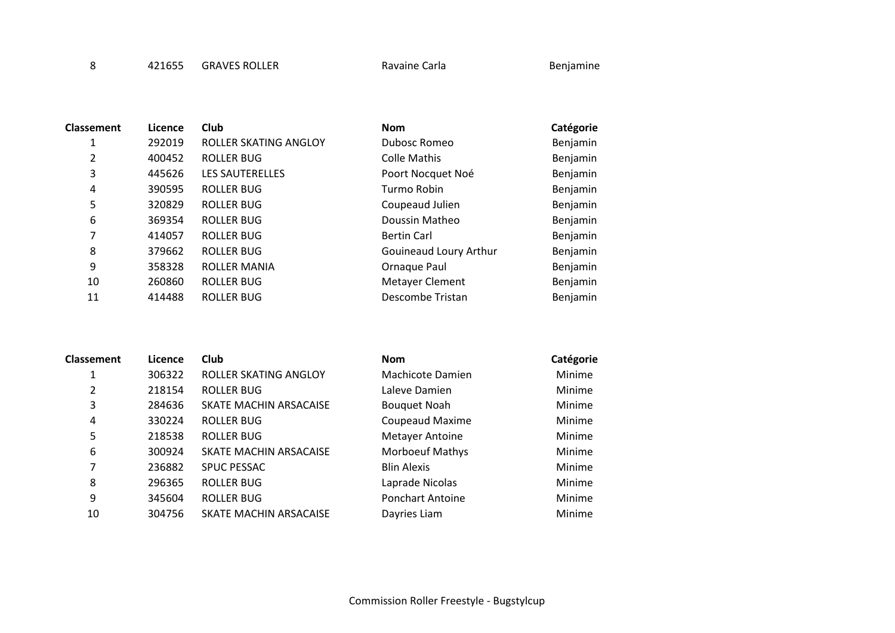8 421655 GRAVES ROLLER Ravaine Carla Ravaine Carla

| <b>Classement</b> | Licence | Club                   | <b>Nom</b>             | Catégorie |
|-------------------|---------|------------------------|------------------------|-----------|
| 1                 | 292019  | ROLLER SKATING ANGLOY  | Dubosc Romeo           | Benjamin  |
| 2                 | 400452  | ROLLER BUG             | <b>Colle Mathis</b>    | Benjamin  |
| 3                 | 445626  | <b>LES SAUTERELLES</b> | Poort Nocquet Noé      | Benjamin  |
| 4                 | 390595  | ROLLER BUG             | Turmo Robin            | Benjamin  |
| 5                 | 320829  | <b>ROLLER BUG</b>      | Coupeaud Julien        | Benjamin  |
| 6                 | 369354  | <b>ROLLER BUG</b>      | Doussin Matheo         | Benjamin  |
| 7                 | 414057  | <b>ROLLER BUG</b>      | <b>Bertin Carl</b>     | Benjamin  |
| 8                 | 379662  | ROLLER BUG             | Gouineaud Loury Arthur | Benjamin  |
| 9                 | 358328  | <b>ROLLER MANIA</b>    | Ornaque Paul           | Benjamin  |
| 10                | 260860  | <b>ROLLER BUG</b>      | Metayer Clement        | Benjamin  |
| 11                | 414488  | ROLLER BUG             | Descombe Tristan       | Benjamin  |

| <b>Classement</b> | Licence | Club                         | <b>Nom</b>              | Catégorie |
|-------------------|---------|------------------------------|-------------------------|-----------|
| 1                 | 306322  | <b>ROLLER SKATING ANGLOY</b> | Machicote Damien        | Minime    |
| 2                 | 218154  | <b>ROLLER BUG</b>            | Laleve Damien           | Minime    |
| 3                 | 284636  | SKATE MACHIN ARSACAISE       | <b>Bouquet Noah</b>     | Minime    |
| 4                 | 330224  | <b>ROLLER BUG</b>            | Coupeaud Maxime         | Minime    |
| 5                 | 218538  | <b>ROLLER BUG</b>            | <b>Metayer Antoine</b>  | Minime    |
| 6                 | 300924  | SKATE MACHIN ARSACAISE       | <b>Morboeuf Mathys</b>  | Minime    |
| 7                 | 236882  | <b>SPUC PESSAC</b>           | <b>Blin Alexis</b>      | Minime    |
| 8                 | 296365  | <b>ROLLER BUG</b>            | Laprade Nicolas         | Minime    |
| 9                 | 345604  | <b>ROLLER BUG</b>            | <b>Ponchart Antoine</b> | Minime    |
| 10                | 304756  | SKATE MACHIN ARSACAISE       | Dayries Liam            | Minime    |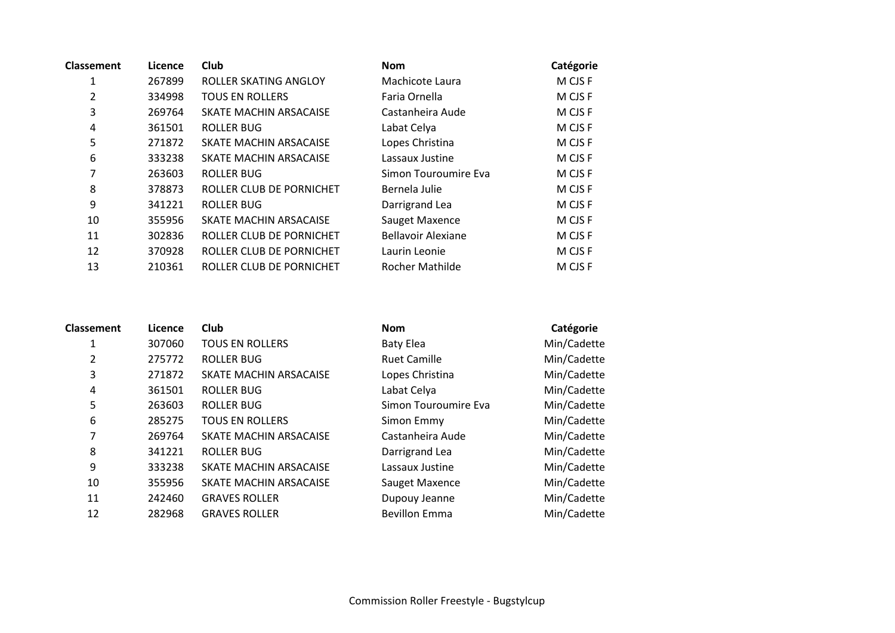| <b>Classement</b> | Licence | Club                     | <b>Nom</b>                | Catégorie |
|-------------------|---------|--------------------------|---------------------------|-----------|
| 1                 | 267899  | ROLLER SKATING ANGLOY    | Machicote Laura           | M CJS F   |
| 2                 | 334998  | <b>TOUS EN ROLLERS</b>   | Faria Ornella             | M CJS F   |
| 3                 | 269764  | SKATE MACHIN ARSACAISE   | Castanheira Aude          | M CJS F   |
| 4                 | 361501  | <b>ROLLER BUG</b>        | Labat Celya               | M CJS F   |
| 5                 | 271872  | SKATE MACHIN ARSACAISE   | Lopes Christina           | M CJS F   |
| 6                 | 333238  | SKATE MACHIN ARSACAISE   | Lassaux Justine           | M CJS F   |
| 7                 | 263603  | <b>ROLLER BUG</b>        | Simon Touroumire Eva      | M CJS F   |
| 8                 | 378873  | ROLLER CLUB DE PORNICHET | Bernela Julie             | M CJS F   |
| 9                 | 341221  | <b>ROLLER BUG</b>        | Darrigrand Lea            | M CJS F   |
| 10                | 355956  | SKATE MACHIN ARSACAISE   | Sauget Maxence            | M CJS F   |
| 11                | 302836  | ROLLER CLUB DE PORNICHET | <b>Bellavoir Alexiane</b> | M CJS F   |
| 12                | 370928  | ROLLER CLUB DE PORNICHET | Laurin Leonie             | M CJS F   |
| 13                | 210361  | ROLLER CLUB DE PORNICHET | <b>Rocher Mathilde</b>    | M CJS F   |

| <b>Classement</b> | Licence | Club                   | <b>Nom</b>           | Catégorie   |
|-------------------|---------|------------------------|----------------------|-------------|
| 1                 | 307060  | <b>TOUS EN ROLLERS</b> | <b>Baty Elea</b>     | Min/Cadette |
| 2                 | 275772  | <b>ROLLER BUG</b>      | <b>Ruet Camille</b>  | Min/Cadette |
| 3                 | 271872  | SKATE MACHIN ARSACAISE | Lopes Christina      | Min/Cadette |
| 4                 | 361501  | <b>ROLLER BUG</b>      | Labat Celya          | Min/Cadette |
| 5                 | 263603  | ROLLER BUG             | Simon Touroumire Eva | Min/Cadette |
| 6                 | 285275  | <b>TOUS EN ROLLERS</b> | Simon Emmy           | Min/Cadette |
| 7                 | 269764  | SKATE MACHIN ARSACAISE | Castanheira Aude     | Min/Cadette |
| 8                 | 341221  | <b>ROLLER BUG</b>      | Darrigrand Lea       | Min/Cadette |
| 9                 | 333238  | SKATE MACHIN ARSACAISE | Lassaux Justine      | Min/Cadette |
| 10                | 355956  | SKATE MACHIN ARSACAISE | Sauget Maxence       | Min/Cadette |
| 11                | 242460  | <b>GRAVES ROLLER</b>   | Dupouy Jeanne        | Min/Cadette |
| 12                | 282968  | <b>GRAVES ROLLER</b>   | <b>Bevillon Emma</b> | Min/Cadette |